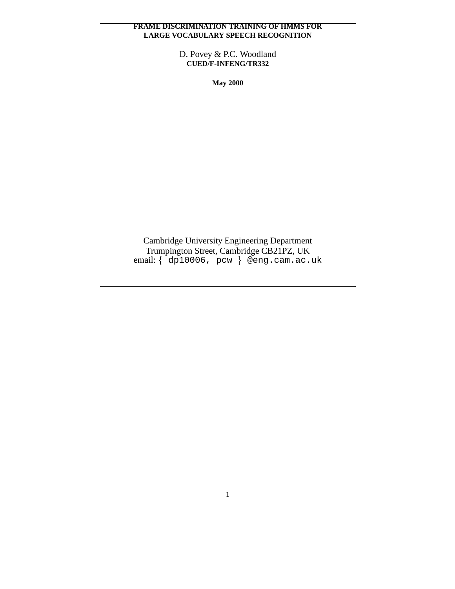### **FRAME DISCRIMINATION TRAINING OF HMMS FOR LARGE VOCABULARY SPEECH RECOGNITION**

D. Povey & P.C. Woodland **CUED/F-INFENG/TR332**

**May 2000**

Cambridge University Engineering Department Trumpington Street, Cambridge CB21PZ, UK email: dp10006, pcw @eng.cam.ac.uk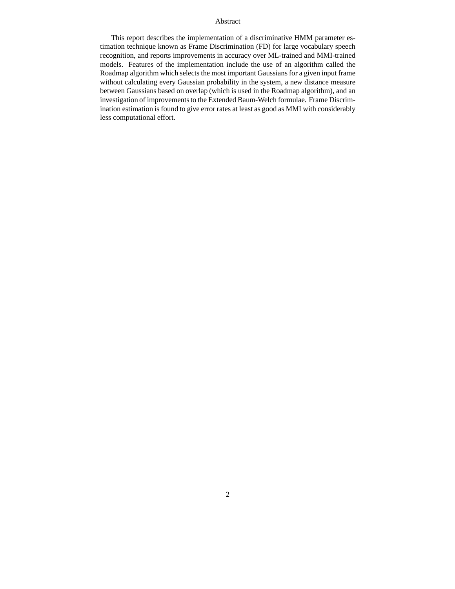#### Abstract

This report describes the implementation of a discriminative HMM parameter estimation technique known as Frame Discrimination (FD) for large vocabulary speech recognition, and reports improvements in accuracy over ML-trained and MMI-trained models. Features of the implementation include the use of an algorithm called the Roadmap algorithm which selects the most important Gaussians for a given input frame without calculating every Gaussian probability in the system, a new distance measure between Gaussians based on overlap (which is used in the Roadmap algorithm), and an investigation of improvements to the Extended Baum-Welch formulae. Frame Discrimination estimation is found to give error rates at least as good as MMI with considerably less computational effort.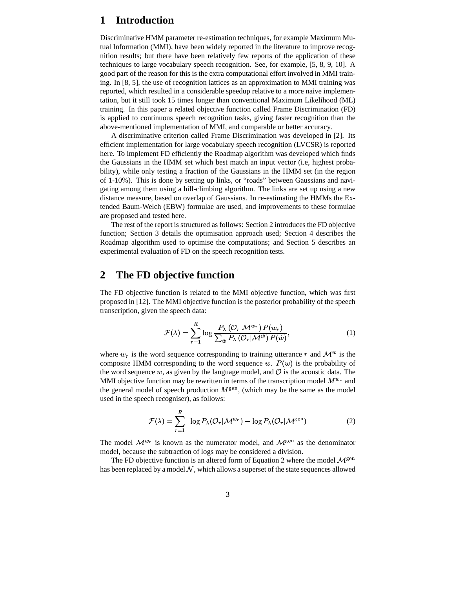# **1 Introduction**

Discriminative HMM parameter re-estimation techniques, for example Maximum Mutual Information (MMI), have been widely reported in the literature to improve recognition results; but there have been relatively few reports of the application of these techniques to large vocabulary speech recognition. See, for example, [5, 8, 9, 10]. A good part of the reason for this is the extra computational effort involved in MMI training. In [8, 5], the use of recognition lattices as an approximation to MMI training was reported, which resulted in a considerable speedup relative to a more naive implementation, but it still took 15 times longer than conventional Maximum Likelihood (ML) training. In this paper a related objective function called Frame Discrimination (FD) is applied to continuous speech recognition tasks, giving faster recognition than the above-mentioned implementation of MMI, and comparable or better accuracy.

A discriminative criterion called Frame Discrimination was developed in [2]. Its efficient implementation for large vocabulary speech recognition (LVCSR) is reported here. To implement FD efficiently the Roadmap algorithm was developed which finds the Gaussians in the HMM set which best match an input vector (i.e, highest probability), while only testing a fraction of the Gaussians in the HMM set (in the region of 1-10%). This is done by setting up links, or "roads" between Gaussians and navigating among them using a hill-climbing algorithm. The links are set up using a new distance measure, based on overlap of Gaussians. In re-estimating the HMMs the Extended Baum-Welch (EBW) formulae are used, and improvements to these formulae are proposed and tested here.

The rest of the report is structured as follows: Section 2 introduces the FD objective function; Section 3 details the optimisation approach used; Section 4 describes the Roadmap algorithm used to optimise the computations; and Section 5 describes an experimental evaluation of FD on the speech recognition tests.

## **2 The FD objective function**

The FD objective function is related to the MMI objective function, which was first proposed in [12]. The MMI objective function is the posterior probability of the speech transcription, given the speech data:

$$
\mathcal{F}(\lambda) = \sum_{r=1}^{R} \log \frac{P_{\lambda}(\mathcal{O}_r | \mathcal{M}^{w_r}) P(w_r)}{\sum_{\hat{w}} P_{\lambda}(\mathcal{O}_r | \mathcal{M}^{\hat{w}}) P(\hat{w})},
$$
(1)

where  $w_r$  is the word sequence corresponding to training utterance r and  $\mathcal{M}^w$  is the composite HMM corresponding to the word sequence  $w$ .  $P(w)$  is the probability of the word sequence w, as given by the language model, and  $\mathcal O$  is the acoustic data. The MMI objective function may be rewritten in terms of the transcription model  $M^{w_r}$  and the general model of speech production  $M^{\text{gen}}$ , (which may be the same as the model used in the speech recogniser), as follows:

$$
\mathcal{F}(\lambda) = \sum_{r=1}^{R} \log P_{\lambda}(\mathcal{O}_{r}|\mathcal{M}^{w_{r}}) - \log P_{\lambda}(\mathcal{O}_{r}|\mathcal{M}^{\text{gen}})
$$
 (2)

The model  $\mathcal{M}^{w_r}$  is known as the numerator model, and  $\mathcal{M}^{\text{gen}}$  as the denominator model, because the subtraction of logs may be considered a division.

The FD objective function is an altered form of Equation 2 where the model  $\mathcal{M}^{\text{gen}}$ has been replaced by a model  $\mathcal N$ , which allows a superset of the state sequences allowed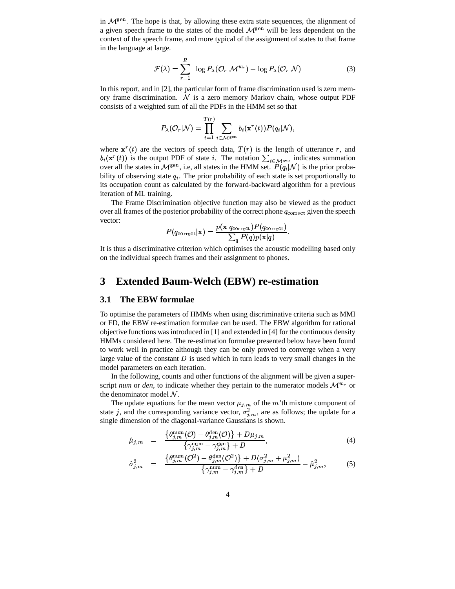in  $\mathcal{M}^{\text{gen}}$ . The hope is that, by allowing these extra state sequences, the alignment of a given speech frame to the states of the model  $\mathcal{M}^{\text{gen}}$  will be less dependent on the context of the speech frame, and more typical of the assignment of states to that frame in the language at large.

$$
\mathcal{F}(\lambda) = \sum_{r=1}^{R} \log P_{\lambda}(\mathcal{O}_{r}|\mathcal{M}^{w_{r}}) - \log P_{\lambda}(\mathcal{O}_{r}|\mathcal{N})
$$
(3)

In this report, and in [2], the particular form of frame discrimination used is zero memory frame discrimination.  $\mathcal N$  is a zero memory Markov chain, whose output PDF consists of a weighted sum of all the PDFs in the HMM set so that

$$
P_\lambda({\mathcal O}_r|{\mathcal N}) = \prod_{t=1}^{T(r)} \sum_{i\in {\mathcal M}^{\rm gen}} b_i({\mathbf x}^r(t)) P(q_i|{\mathcal N}),
$$

where  $\mathbf{x}^{r}(t)$  are the vectors of speech data,  $T(r)$  is the length of utterance r, and  $b_i(\mathbf{x}^r(t))$  is the output PDF of state i. The notation  $\sum_{i \in \mathcal{M}^g}$  indicates summation over all the states in  $\mathcal{M}^{\text{gen}}$ , i.e, all states in the HMM set.  $P(q_i|\mathcal{N})$  is the prior probability of observing state  $q_i$ . The prior probability of each state is set proportionally to its occupation count as calculated by the forward-backward algorithm for a previous iteration of ML training.

The Frame Discrimination objective function may also be viewed as the product over all frames of the posterior probability of the correct phone  $q_{\text{correct}}$  given the speech vector:

$$
P(q_{\text{correct}}|\mathbf{x}) = \frac{p(\mathbf{x}|q_{\text{correct}})P(q_{\text{correct}})}{\sum_q P(q)p(\mathbf{x}|q)}.
$$

It is thus a discriminative criterion which optimises the acoustic modelling based only on the individual speech frames and their assignment to phones.

## **3 Extended Baum-Welch (EBW) re-estimation**

#### **3.1 The EBW formulae**

To optimise the parameters of HMMs when using discriminative criteria such as MMI or FD, the EBW re-estimation formulae can be used. The EBW algorithm for rational objective functions was introduced in [1] and extended in [4] for the continuous density HMMs considered here. The re-estimation formulae presented below have been found to work well in practice although they can be only proved to converge when a very large value of the constant  $D$  is used which in turn leads to very small changes in the model parameters on each iteration.

In the following, counts and other functions of the alignment will be given a superscript *num* or *den*, to indicate whether they pertain to the numerator models  $\mathcal{M}^{w_r}$  or the denominator model  $N$ .

The update equations for the mean vector  $\mu_{j,m}$  of the m'th mixture component of state j, and the corresponding variance vector,  $\sigma_{j,m}^2$ , are as follows; the update for a single dimension of the diagonal-variance Gaussians is shown.

$$
\hat{\mu}_{j,m} = \frac{\left\{ \theta_{j,m}^{\text{num}}(\mathcal{O}) - \theta_{j,m}^{\text{den}}(\mathcal{O}) \right\} + D\mu_{j,m}}{\left\{ \gamma_{j,m}^{\text{num}} - \gamma_{j,m}^{\text{den}} \right\} + D},\tag{4}
$$

$$
\hat{\sigma}_{j,m}^2 = \frac{\{\theta_{j,m}^{\text{num}}(\mathcal{O}^2) - \theta_{j,m}^{\text{den}}(\mathcal{O}^2)\} + D(\sigma_{j,m}^2 + \mu_{j,m}^2)}{\{\gamma_{j,m}^{\text{num}} - \gamma_{j,m}^{\text{den}}\} + D} - \hat{\mu}_{j,m}^2,
$$
\n(5)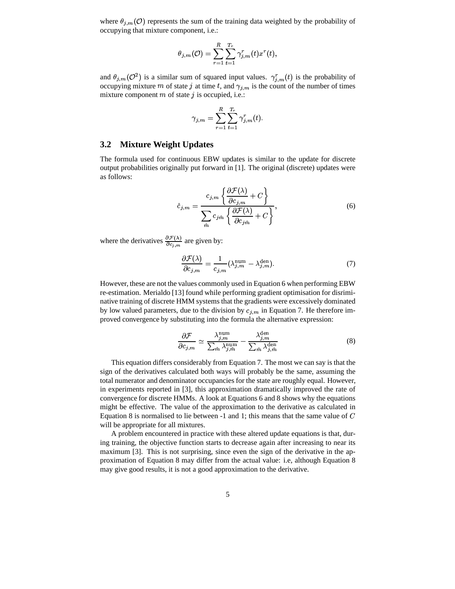where  $\theta_{j,m}(\mathcal{O})$  represents the sum of the training data weighted by the probability of occupying that mixture component, i.e.:

$$
\theta_{j,m}(\mathcal{O})=\sum_{r=1}^R\sum_{t=1}^{T_r}\gamma_{j,m}^r(t)x^r(t),
$$

and  $\theta_{j,m}(\mathcal{O}^2)$  is a similar sum of squared input values.  $\gamma_{j,m}^r(t)$  is the probability of occupying mixture m of state j at time t, and  $\gamma_{j,m}$  is the count of the number of times mixture component  $m$  of state  $j$  is occupied, i.e.:

$$
\gamma_{j,m}=\sum_{r=1}^R\sum_{t=1}^{T_r}\gamma_{j,m}^r(t).
$$

#### **3.2 Mixture Weight Updates**

The formula used for continuous EBW updates is similar to the update for discrete output probabilities originally put forward in [1]. The original (discrete) updates were as follows:

$$
\hat{c}_{j,m} = \frac{c_{j,m} \left\{ \frac{\partial \mathcal{F}(\lambda)}{\partial c_{j,m}} + C \right\}}{\sum_{\hat{m}} c_{j\hat{m}} \left\{ \frac{\partial \mathcal{F}(\lambda)}{\partial c_{j\hat{m}}} + C \right\}},\tag{6}
$$

where the derivatives  $\frac{\partial \mathcal{F}(\lambda)}{\partial c}$  are give  $\frac{\partial \mathcal{F}(\lambda)}{\partial c_{j,m}}$  are given by:

$$
\frac{\partial \mathcal{F}(\lambda)}{\partial c_{j,m}} = \frac{1}{c_{j,m}} (\lambda_{j,m}^{\text{num}} - \lambda_{j,m}^{\text{den}}). \tag{7}
$$

However, these are not the values commonly used in Equation 6 when performing EBW re-estimation. Merialdo [13] found while performing gradient optimisation for disriminative training of discrete HMM systems that the gradients were excessively dominated by low valued parameters, due to the division by  $c_{j,m}$  in Equation 7. He therefore improved convergence by substituting into the formula the alternative expression:

$$
\frac{\partial \mathcal{F}}{\partial c_{j,m}} \simeq \frac{\lambda_{j,m}^{\text{num}}}{\sum_{\hat{m}} \lambda_{j,\hat{m}}^{\text{num}}} - \frac{\lambda_{j,m}^{\text{den}}}{\sum_{\hat{m}} \lambda_{j,\hat{m}}^{\text{den}}}
$$
(8)

This equation differs considerably from Equation 7. The most we can say is that the sign of the derivatives calculated both ways will probably be the same, assuming the total numerator and denominator occupancies for the state are roughly equal. However, in experiments reported in [3], this approximation dramatically improved the rate of convergence for discrete HMMs. A look at Equations 6 and 8 shows why the equations might be effective. The value of the approximation to the derivative as calculated in Equation 8 is normalised to lie between -1 and 1; this means that the same value of  $C$ will be appropriate for all mixtures.

A problem encountered in practice with these altered update equations is that, during training, the objective function starts to decrease again after increasing to near its maximum [3]. This is not surprising, since even the sign of the derivative in the approximation of Equation 8 may differ from the actual value: i.e, although Equation 8 may give good results, it is not a good approximation to the derivative.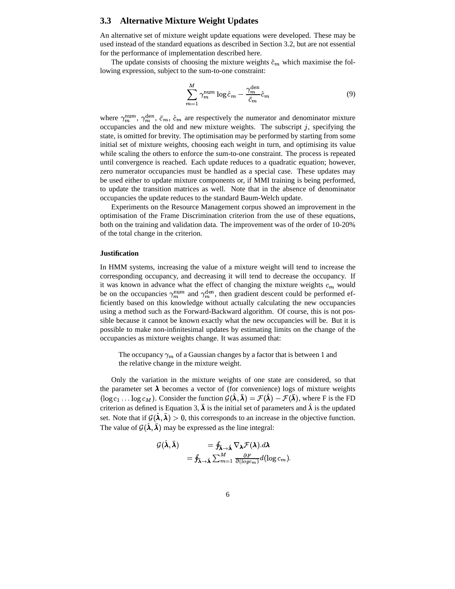#### **3.3 Alternative Mixture Weight Updates**

An alternative set of mixture weight update equations were developed. These may be used instead of the standard equations as described in Section 3.2, but are not essential for the performance of implementation described here.

The update consists of choosing the mixture weights  $\hat{c}_m$  which maximise the following expression, subject to the sum-to-one constraint:

$$
\sum_{m=1}^{M} \gamma_m^{\text{num}} \log \hat{c}_m - \frac{\gamma_m^{\text{den}}}{\bar{c}_m} \hat{c}_m \tag{9}
$$

where  $\gamma_m^{\text{num}}, \gamma_m^{\text{den}}, \bar{c}_m, \hat{c}_m$  are respectively the numerator and denominator mixture occupancies and the old and new mixture weights. The subscript  $j$ , specifying the state, is omitted for brevity. The optimisation may be performed by starting from some initial set of mixture weights, choosing each weight in turn, and optimising its value while scaling the others to enforce the sum-to-one constraint. The process is repeated until convergence is reached. Each update reduces to a quadratic equation; however, zero numerator occupancies must be handled as a special case. These updates may be used either to update mixture components or, if MMI training is being performed, to update the transition matrices as well. Note that in the absence of denominator occupancies the update reduces to the standard Baum-Welch update.

Experiments on the Resource Management corpus showed an improvement in the optimisation of the Frame Discrimination criterion from the use of these equations, both on the training and validation data. The improvement was of the order of 10-20% of the total change in the criterion.

#### **Justification**

In HMM systems, increasing the value of a mixture weight will tend to increase the corresponding occupancy, and decreasing it will tend to decrease the occupancy. If it was known in advance what the effect of changing the mixture weights  $c_m$  would be on the occupancies  $\gamma_m^{\text{num}}$  and  $\gamma_m^{\text{den}}$ , then gradient descent could be performed efficiently based on this knowledge without actually calculating the new occupancies using a method such as the Forward-Backward algorithm. Of course, this is not possible because it cannot be known exactly what the new occupancies will be. But it is possible to make non-infinitesimal updates by estimating limits on the change of the occupancies as mixture weights change. It was assumed that:

The occupancy  $\gamma_m$  of a Gaussian changes by a factor that is between 1 and the relative change in the mixture weight.

Only the variation in the mixture weights of one state are considered, so that the parameter set  $\lambda$  becomes a vector of (for convenience) logs of mixture weights  $(\log c_1 \dots \log c_M)$ . Consider the function  $\mathcal{G}(\hat{\lambda}, \bar{\lambda}) = \mathcal{F}(\hat{\lambda}) - \mathcal{F}(\bar{\lambda})$ , where F is the FD criterion as defined is Equation 3,  $\bar{\lambda}$  is the initial set of parameters and  $\hat{\lambda}$  is the updated set. Note that if  $\mathcal{G}(\hat{\lambda}, \bar{\lambda}) > 0$ , this corresponds to an increase in the objective function. The value of  $\mathcal{G}(\hat{\lambda}, \bar{\lambda})$  may be expressed as the line integral:

$$
\begin{aligned}\n\mathcal{G}(\hat{\lambda}, \bar{\lambda}) &= \oint_{\bar{\lambda} \to \hat{\lambda}} \nabla_{\lambda} \mathcal{F}(\lambda) . d\lambda \\
&= \oint_{\bar{\lambda} \to \hat{\lambda}} \sum_{m=1}^{M} \frac{\partial F}{\partial (\log c_m)} d(\log c_m).\n\end{aligned}
$$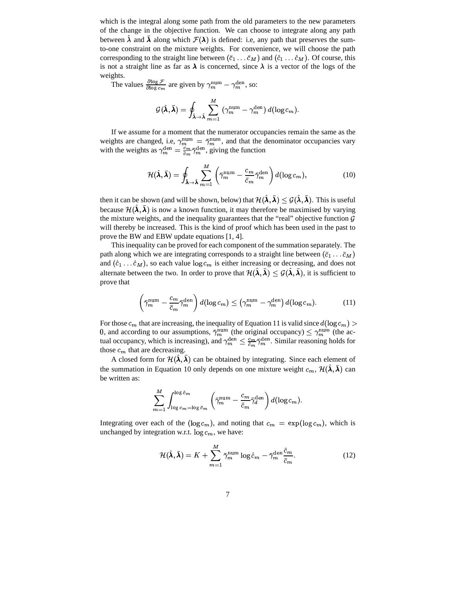which is the integral along some path from the old parameters to the new parameters of the change in the objective function. We can choose to integrate along any path between  $\hat{\lambda}$  and  $\bar{\lambda}$  along which  $\mathcal{F}(\lambda)$  is defined: i.e, any path that preserves the sumto-one constraint on the mixture weights. For convenience, we will choose the path corresponding to the straight line between  $(\bar{c}_1 \ldots \bar{c}_M)$  and  $(\hat{c}_1 \ldots \hat{c}_M)$ . Of course, this is not a straight line as far as  $\lambda$  is concerned, since  $\lambda$  is a vector of the logs of the weights.

The values  $\frac{\partial \log \mathcal{F}}{\partial \log c_m}$  are given by  $\gamma_m^{\text{num}} - \gamma_m^{\text{den}}$ , so:

$$
\mathcal{G}(\hat{\boldsymbol{\lambda}},\bar{\boldsymbol{\lambda}})=\oint_{\bar{\boldsymbol{\lambda}}\to\hat{\boldsymbol{\lambda}}}\sum_{m=1}^M\;(\gamma_m^\text{num}-\gamma_m^\text{den})\;d(\log c_m).
$$

If we assume for a moment that the numerator occupancies remain the same as the weights are changed, i.e,  $\gamma_m^{\text{num}} = \bar{\gamma}_m^{\text{num}}$ , and that the denominator occupancies vary with the weights as  $\gamma_m^{\text{den}} = \frac{c_m}{\bar{c}_m} \bar{\gamma}_m^{\text{den}}$ , giving the function

$$
\mathcal{H}(\hat{\boldsymbol{\lambda}},\bar{\boldsymbol{\lambda}})=\oint_{\bar{\boldsymbol{\lambda}}\to\hat{\boldsymbol{\lambda}}}\sum_{m=1}^{M}\left(\bar{\gamma}_{m}^{\text{num}}-\frac{c_{m}}{\bar{c}_{m}}\bar{\gamma}_{m}^{\text{den}}\right)d(\log c_{m}),\qquad(10)
$$

then it can be shown (and will be shown, below) that  $\mathcal{H}(\hat{\bm{\lambda}},\bar{\bm{\lambda}})\leq\mathcal{G}(\hat{\bm{\lambda}},\bar{\bm{\lambda}}).$  This is useful because  $\mathcal{H}(\hat{\lambda}, \bar{\lambda})$  is now a known function, it may therefore be maximised by varying the mixture weights, and the inequality guarantees that the "real" objective function  $\mathcal G$ will thereby be increased. This is the kind of proof which has been used in the past to prove the BW and EBW update equations [1, 4].

Thisinequality can be proved for each component of the summation separately. The path along which we are integrating corresponds to a straight line between  $(\bar{c}_1 \dots \bar{c}_M)$ and  $(\hat{c}_1 \dots \hat{c}_M)$ , so each value  $\log c_m$  is either increasing or decreasing, and does not alternate between the two. In order to prove that  $\mathcal{H}(\hat{\bm{\lambda}},\bar{\bm{\lambda}}) \leq \mathcal{G}(\hat{\bm{\lambda}},\bar{\bm{\lambda}})$ , it is sufficient to prove that

$$
\left(\bar{\gamma}_m^{\text{num}} - \frac{c_m}{\bar{c}_m} \bar{\gamma}_m^{\text{den}}\right) d(\log c_m) \le \left(\gamma_m^{\text{num}} - \gamma_m^{\text{den}}\right) d(\log c_m). \tag{11}
$$

For those  $c_m$  that are increasing, the inequality of Equation 11 is valid since  $d(\log c_m) > 0$  and according to our eccurations  $\bar{\epsilon}_{\text{all}}^{\text{num}}$  (the original eccuration)  $\epsilon_{\text{all}}^{\text{num}}$  (the set 0, and according to our assumptions,  $\bar{\gamma}_m^{\text{num}}$  (the original occupancy)  $\leq \gamma_m^{\text{num}}$  (the actual occupancy, which is increasing), and  $\gamma_m^{\text{den}} \leq \frac{c_m}{\bar{c}_m} \bar{\gamma}_m^{\text{den}}$ . Similar reasoning holds for those  $c_m$  that are decreasing.

A closed form for  $\mathcal{H}(\hat{\lambda}, \bar{\lambda})$  can be obtained by integrating. Since each element of the summation in Equation 10 only depends on one mixture weight  $c_m$ ,  $\mathcal{H}(\hat{\lambda}, \bar{\lambda})$  can be written as:

$$
\sum_{m=1}^M \int_{\log c_m = \log \bar{c}_m}^{\log \hat{c}_m} \left(\bar{\gamma}_m^{\text{num}} - \frac{c_m}{\bar{c}_m} \bar{\gamma}_d^{\text{den}} \right) d(\log c_m).
$$

Integrating over each of the  $(\log c_m)$ , and noting that  $c_m = \exp(\log c_m)$ , which is unchanged by integration w.r.t.  $\log c_m$ , we have:

$$
\mathcal{H}(\hat{\boldsymbol{\lambda}}, \bar{\boldsymbol{\lambda}}) = K + \sum_{m=1}^{M} \bar{\gamma}_m^{\text{num}} \log \hat{c}_m - \bar{\gamma}_m^{\text{den}} \frac{\hat{c}_m}{\bar{c}_m}.
$$
 (12)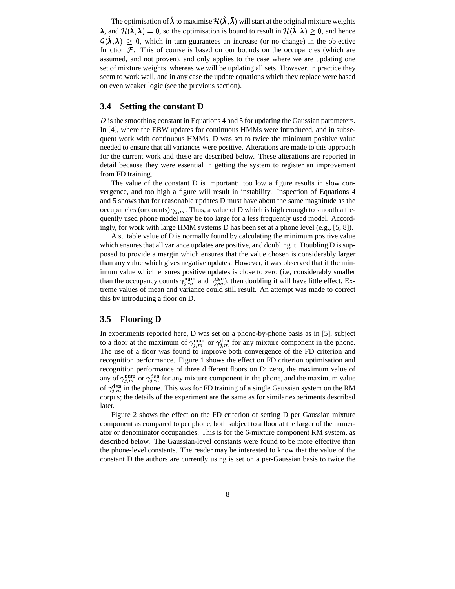The optimisation of  $\hat{\lambda}$  to maximise  $\mathcal{H}(\hat{\bm{\lambda}},\bar{\bm{\lambda}})$  will start at the original mixture weights  $\bar{\bm{\lambda}}$ , and  $\mathcal{H}(\hat{\bm{\lambda}},\bar{\bm{\lambda}})=0$ , so the optimisation is bound to result in  $\mathcal{H}(\hat{\bm{\lambda}},\bar{\bm{\lambda}})\geq 0$ , and hence  $\mathcal{G}(\hat{\lambda},\bar{\lambda})\geq 0$ , which in turn guarantees an increase (or no change) in the objective function  $F$ . This of course is based on our bounds on the occupancies (which are assumed, and not proven), and only applies to the case where we are updating one set of mixture weights, whereas we will be updating all sets. However, in practice they seem to work well, and in any case the update equations which they replace were based on even weaker logic (see the previous section).

#### **3.4 Setting the constant D**

 $D$  is the smoothing constant in Equations 4 and 5 for updating the Gaussian parameters. In [4], where the EBW updates for continuous HMMs were introduced, and in subsequent work with continuous HMMs, D was set to twice the minimum positive value needed to ensure that all variances were positive. Alterations are made to this approach for the current work and these are described below. These alterations are reported in detail because they were essential in getting the system to register an improvement from FD training.

The value of the constant D is important: too low a figure results in slow convergence, and too high a figure will result in instability. Inspection of Equations 4 and 5 shows that for reasonable updates D must have about the same magnitude as the occupancies (or counts)  $\gamma_{i,m}$ . Thus, a value of D which is high enough to smooth a frequently used phone model may be too large for a less frequently used model. Accordingly, for work with large HMM systems D has been set at a phone level (e.g., [5, 8]).

A suitable value of D is normally found by calculating the minimum positive value which ensures that all variance updates are positive, and doubling it. Doubling D is supposed to provide a margin which ensures that the value chosen is considerably larger than any value which gives negative updates. However, it was observed that if the minimum value which ensures positive updates is close to zero (i.e, considerably smaller than the occupancy counts  $\gamma_{j,m}^{\text{num}}$  and  $\gamma_{j,m}^{\text{dem}}$ , then doubling it will have little effect. Extreme values of mean and variance could still result. An attempt was made to correct this by introducing a floor on D.

#### **3.5 Flooring D**

In experiments reported here, D was set on a phone-by-phone basis as in [5], subject to a floor at the maximum of  $\gamma_{j,m}^{\text{num}}$  or  $\gamma_{j,m}^{\text{den}}$  for any mixture component in the phone. The use of a floor was found to improve both convergence of the FD criterion and recognition performance. Figure 1 shows the effect on FD criterion optimisation and recognition performance of three different floors on D: zero, the maximum value of any of  $\gamma_{j,m}^{\text{num}}$  or  $\gamma_{j,m}^{\text{den}}$  for any mixture component in the phone, and the maximum value of  $\gamma_{i,m}^{\text{den}}$  in the phone. This was for FD training of a single Gaussian system on the RM corpus; the details of the experiment are the same as for similar experiments described later.

Figure 2 shows the effect on the FD criterion of setting D per Gaussian mixture component as compared to per phone, both subject to a floor at the larger of the numerator or denominator occupancies. This is for the 6-mixture component RM system, as described below. The Gaussian-level constants were found to be more effective than the phone-level constants. The reader may be interested to know that the value of the constant D the authors are currently using is set on a per-Gaussian basis to twice the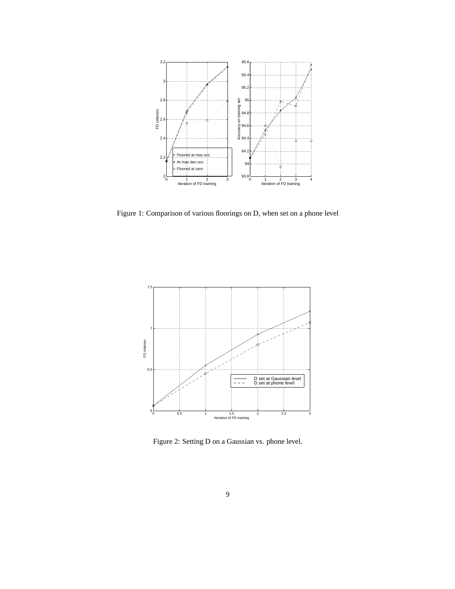

Figure 1: Comparison of various floorings on D, when set on a phone level



Figure 2: Setting D on a Gaussian vs. phone level.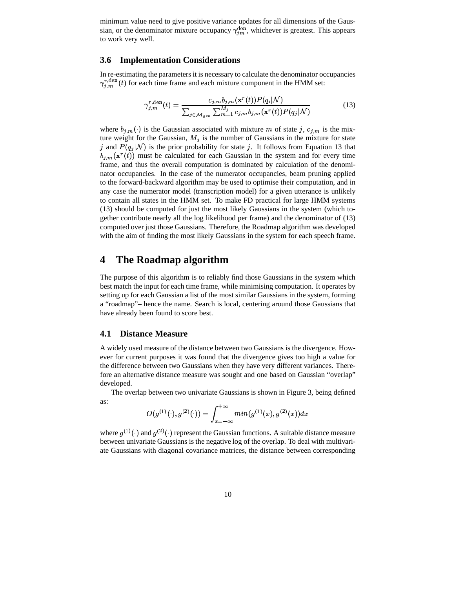minimum value need to give positive variance updates for all dimensions of the Gaussian, or the denominator mixture occupancy  $\gamma_{jm}^{\text{den}}$ , whichever is greatest. This appears to work very well.

#### **3.6 Implementation Considerations**

In re-estimating the parameters it is necessary to calculate the denominator occupancies  $\gamma_{j,m}^{r,\text{den}}(t)$  for each time frame and each mixture component in the HMM set:

$$
\gamma_{j,m}^{r,\text{den}}(t) = \frac{c_{j,m}b_{j,m}(\mathbf{x}^r(t))P(q_i|\mathcal{N})}{\sum_{j \in \mathcal{M}_{\text{gen}}} \sum_{m=1}^{M_j} c_{j,m}b_{j,m}(\mathbf{x}^r(t))P(q_j|\mathcal{N})}
$$
(13)

where  $b_{j,m}(\cdot)$  is the Gaussian associated with mixture m of state j,  $c_{j,m}$  is the mixture weight for the Gaussian,  $M_j$  is the number of Gaussians in the mixture for state j and  $P(q_j|N)$  is the prior probability for state j. It follows from Equation 13 that  $b_{j,m}(\mathbf{x}^r(t))$  must be calculated for each Gaussian in the system and for every time frame, and thus the overall computation is dominated by calculation of the denominator occupancies. In the case of the numerator occupancies, beam pruning applied to the forward-backward algorithm may be used to optimise their computation, and in any case the numerator model (transcription model) for a given utterance is unlikely to contain all states in the HMM set. To make FD practical for large HMM systems (13) should be computed for just the most likely Gaussians in the system (which together contribute nearly all the log likelihood per frame) and the denominator of (13) computed over just those Gaussians. Therefore, the Roadmap algorithm was developed with the aim of finding the most likely Gaussians in the system for each speech frame.

## **4 The Roadmap algorithm**

The purpose of this algorithm is to reliably find those Gaussians in the system which best match the input for each time frame, while minimising computation. It operates by setting up for each Gaussian a list of the most similar Gaussians in the system, forming a "roadmap"– hence the name. Search is local, centering around those Gaussians that have already been found to score best.

#### **4.1 Distance Measure**

A widely used measure of the distance between two Gaussians is the divergence. However for current purposes it was found that the divergence gives too high a value for the difference between two Gaussians when they have very different variances. Therefore an alternative distance measure was sought and one based on Gaussian "overlap" developed.

The overlap between two univariate Gaussians is shown in Figure 3, being defined as:

$$
O(g^{(1)}(\cdot),g^{(2)}(\cdot))=\int_{x=-\infty}^{+\infty}min(g^{(1)}(x),g^{(2)}(x))dx
$$

 between univariate Gaussians is the negative log of the overlap. To deal with multivariwhere  $g^{(1)}(\cdot)$  and  $g^{(2)}(\cdot)$  represent the Gaussian functions. A suitable distance measure ate Gaussians with diagonal covariance matrices, the distance between corresponding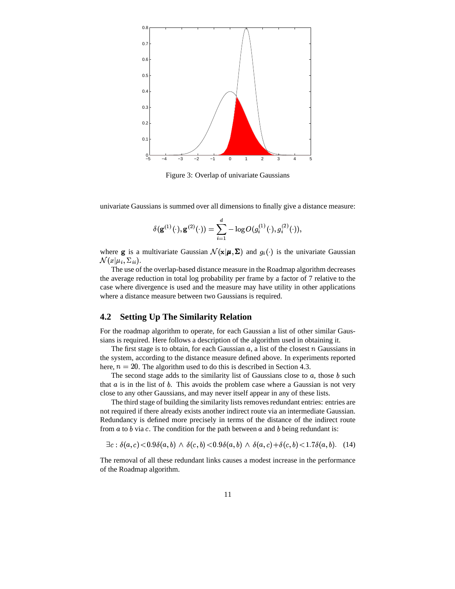

Figure 3: Overlap of univariate Gaussians

univariate Gaussians is summed over all dimensions to finally give a distance measure:

$$
\delta({\bf g}^{(1)}(\cdot),{\bf g}^{(2)}(\cdot))=\sum_{i=1}^d -\log O(g_i^{(1)}(\cdot),g_i^{(2)}(\cdot)),
$$

where **g** is a multivariate Gaussian  $\mathcal{N}(\mathbf{x}|\boldsymbol{\mu}, \boldsymbol{\Sigma})$  and  $g_i(\cdot)$  is the univariate Gaussian  $\mathcal{N}(x | \mu_i, \Sigma_{ii}).$ 

The use of the overlap-based distance measure in the Roadmap algorithm decreases the average reduction in total log probability per frame by a factor of 7 relative to the case where divergence is used and the measure may have utility in other applications where a distance measure between two Gaussians is required.

#### **4.2 Setting Up The Similarity Relation**

For the roadmap algorithm to operate, for each Gaussian a list of other similar Gaussians is required. Here follows a description of the algorithm used in obtaining it.

The first stage is to obtain, for each Gaussian  $a$ , a list of the closest  $n$  Gaussians in the system, according to the distance measure defined above. In experiments reported here,  $n = 20$ . The algorithm used to do this is described in Section 4.3.

The second stage adds to the similarity list of Gaussians close to  $a$ , those  $b$  such that  $a$  is in the list of  $b$ . This avoids the problem case where a Gaussian is not very close to any other Gaussians, and may never itself appear in any of these lists.

The third stage of building the similarity lists removes redundant entries: entries are not required if there already exists another indirect route via an intermediate Gaussian. Redundancy is defined more precisely in terms of the distance of the indirect route from  $a$  to  $b$  via  $c$ . The condition for the path between  $a$  and  $b$  being redundant is:

$$
\exists c : \delta(a, c) < 0.9\delta(a, b) \land \delta(c, b) < 0.9\delta(a, b) \land \delta(a, c) + \delta(c, b) < 1.7\delta(a, b). \tag{14}
$$

The removal of all these redundant links causes a modest increase in the performance of the Roadmap algorithm.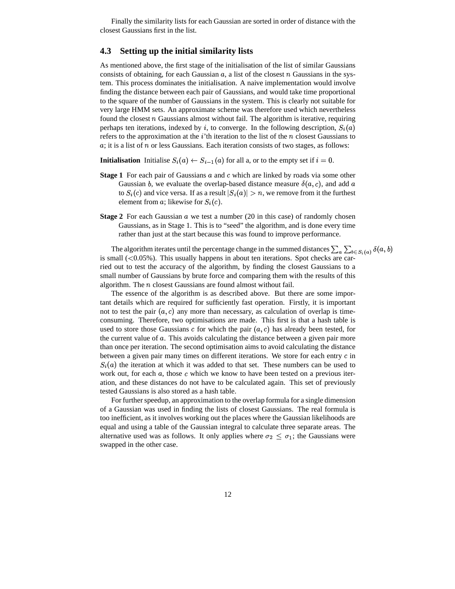Finally the similarity lists for each Gaussian are sorted in order of distance with the closest Gaussians first in the list.

### **4.3 Setting up the initial similarity lists**

As mentioned above, the first stage of the initialisation of the list of similar Gaussians consists of obtaining, for each Gaussian  $a$ , a list of the closest  $n$  Gaussians in the system. This process dominates the initialisation. A naive implementation would involve finding the distance between each pair of Gaussians, and would take time proportional to the square of the number of Gaussians in the system. This is clearly not suitable for very large HMM sets. An approximate scheme was therefore used which nevertheless found the closest  $n$  Gaussians almost without fail. The algorithm is iterative, requiring perhaps ten iterations, indexed by i, to converge. In the following description,  $S_i(a)$ ) and  $\overline{a}$ refers to the approximation at the  $i$ 'th iteration to the list of the n closest Gaussians to  $\alpha$ ; it is a list of  $\eta$  or less Gaussians. Each iteration consists of two stages, as follows:

**Initialisation** Initialise  $S_i(a) \leftarrow S_{i-1}(a)$  for all a, or to the empty set if  $i = 0$ .

- **Stage 1** For each pair of Gaussians a and c which are linked by roads via some other Gaussian b, we evaluate the overlap-based distance measure  $\delta(a, c)$ , and add  $a$ to  $S_i(c)$  and vice versa. If as a result  $|S_i(a)| > n$ , we remove from it the furthest element from a; likewise for  $S_i(c)$ .
- **Stage 2** For each Gaussian  $a$  we test a number (20 in this case) of randomly chosen Gaussians, as in Stage 1. This is to "seed" the algorithm, and is done every time rather than just at the start because this was found to improve performance.

The algorithm iterates until the percentage change in the summed distances  $\sum_a \sum_{b \in S_i(a)} \delta(a, b)$ <br>mall (<0.05%). This usually happens in about ten iterations. Spot checks are car is small  $(<0.05\%)$ . This usually happens in about ten iterations. Spot checks are carried out to test the accuracy of the algorithm, by finding the closest Gaussians to a small number of Gaussians by brute force and comparing them with the results of this algorithm. The  $n$  closest Gaussians are found almost without fail.

The essence of the algorithm is as described above. But there are some important details which are required for sufficiently fast operation. Firstly, it is important not to test the pair  $(a, c)$  any more than necessary, as calculation of overlap is timeconsuming. Therefore, two optimisations are made. This first is that a hash table is used to store those Gaussians  $c$  for which the pair  $(a, c)$  has already been tested, for the current value of  $\alpha$ . This avoids calculating the distance between a given pair more than once per iteration. The second optimisation aims to avoid calculating the distance between a given pair many times on different iterations. We store for each entry  $c$  in  $S_i(a)$  the iteration at which it was added to that set. These numbers can be used to work out, for each  $a$ , those  $c$  which we know to have been tested on a previous iteration, and these distances do not have to be calculated again. This set of previously tested Gaussians is also stored as a hash table.

For further speedup, an approximation to the overlap formula for a single dimension of a Gaussian was used in finding the lists of closest Gaussians. The real formula is too inefficient, as it involves working out the places where the Gaussian likelihoods are equal and using a table of the Gaussian integral to calculate three separate areas. The alternative used was as follows. It only applies where  $\sigma_2 \leq \sigma_1$ ; the Gaussians were swapped in the other case.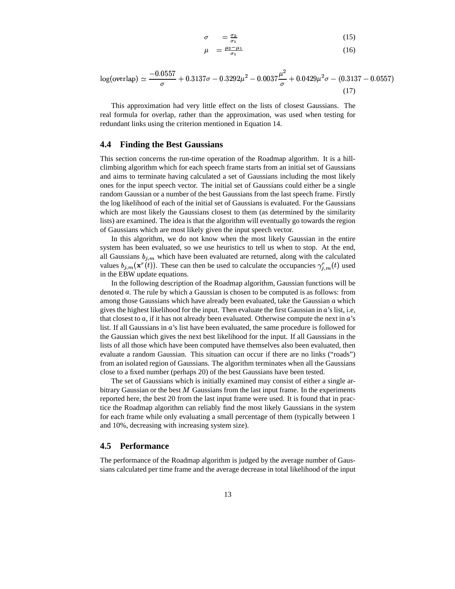$$
\sigma = \frac{\sigma_2}{\sigma_1} \tag{15}
$$
\n
$$
\mu = \frac{\mu_2 - \mu_1}{\sigma_1} \tag{16}
$$

 $\overline{a}$ 

$$
\log(\text{overlap}) \simeq \frac{-0.0557}{\sigma} + 0.3137\sigma - 0.3292\mu^2 - 0.0037\frac{\mu^2}{\sigma} + 0.0429\mu^2\sigma - (0.3137 - 0.0557)
$$
\n(17)

This approximation had very little effect on the lists of closest Gaussians. The real formula for overlap, rather than the approximation, was used when testing for redundant links using the criterion mentioned in Equation 14.

#### **4.4 Finding the Best Gaussians**

This section concerns the run-time operation of the Roadmap algorithm. It is a hillclimbing algorithm which for each speech frame starts from an initial set of Gaussians and aims to terminate having calculated a set of Gaussians including the most likely ones for the input speech vector. The initial set of Gaussians could either be a single random Gaussian or a number of the best Gaussians from the last speech frame. Firstly the log likelihood of each of the initial set of Gaussians is evaluated. For the Gaussians which are most likely the Gaussians closest to them (as determined by the similarity lists) are examined. The idea is that the algorithm will eventually go towards the region of Gaussians which are most likely given the input speech vector.

In this algorithm, we do not know when the most likely Gaussian in the entire system has been evaluated, so we use heuristics to tell us when to stop. At the end, all Gaussians  $b_{j,m}$  which have been evaluated are returned, along with the calculated values  $b_{j,m}(\mathbf{x}^r(t))$ . These can then be used to calculate the occupancies  $\gamma_{j,m}^r(t)$  used in the EBW update equations.

In the following description of the Roadmap algorithm, Gaussian functions will be denoted  $\alpha$ . The rule by which a Gaussian is chosen to be computed is as follows: from among those Gaussians which have already been evaluated, take the Gaussian  $a$  which gives the highest likelihood for the input. Then evaluate the first Gaussian in  $\vec{a}$ 's list, i.e, that closest to  $a$ , if it has not already been evaluated. Otherwise compute the next in  $a$ 's list. If all Gaussians in  $a'$ 's list have been evaluated, the same procedure is followed for the Gaussian which gives the next best likelihood for the input. If all Gaussians in the lists of all those which have been computed have themselves also been evaluated, then evaluate a random Gaussian. This situation can occur if there are no links ("roads") from an isolated region of Gaussians. The algorithm terminates when all the Gaussians close to a fixed number (perhaps 20) of the best Gaussians have been tested.

The set of Gaussians which is initially examined may consist of either a single arbitrary Gaussian or the best  $M$  Gaussians from the last input frame. In the experiments reported here, the best 20 from the last input frame were used. It is found that in practice the Roadmap algorithm can reliably find the most likely Gaussians in the system for each frame while only evaluating a small percentage of them (typically between 1 and 10%, decreasing with increasing system size).

#### **4.5 Performance**

The performance of the Roadmap algorithm is judged by the average number of Gaussians calculated per time frame and the average decrease in total likelihood of the input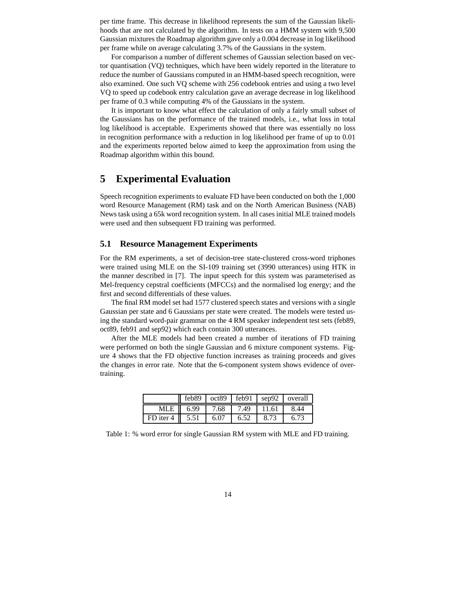per time frame. This decrease in likelihood represents the sum of the Gaussian likelihoods that are not calculated by the algorithm. In tests on a HMM system with 9,500 Gaussian mixtures the Roadmap algorithm gave only a 0.004 decrease in log likelihood per frame while on average calculating 3.7% of the Gaussians in the system.

For comparison a number of different schemes of Gaussian selection based on vector quantisation (VQ) techniques, which have been widely reported in the literature to reduce the number of Gaussians computed in an HMM-based speech recognition, were also examined. One such VQ scheme with 256 codebook entries and using a two level VQ to speed up codebook entry calculation gave an average decrease in log likelihood per frame of 0.3 while computing 4% of the Gaussians in the system.

It is important to know what effect the calculation of only a fairly small subset of the Gaussians has on the performance of the trained models, i.e., what loss in total log likelihood is acceptable. Experiments showed that there was essentially no loss in recognition performance with a reduction in log likelihood per frame of up to 0.01 and the experiments reported below aimed to keep the approximation from using the Roadmap algorithm within this bound.

# **5 Experimental Evaluation**

Speech recognition experiments to evaluate FD have been conducted on both the 1,000 word Resource Management (RM) task and on the North American Business (NAB) Newstask using a 65k word recognition system. In all casesinitial MLE trained models were used and then subsequent FD training was performed.

### **5.1 Resource Management Experiments**

For the RM experiments, a set of decision-tree state-clustered cross-word triphones were trained using MLE on the SI-109 training set (3990 utterances) using HTK in the manner described in [7]. The input speech for this system was parameterised as Mel-frequency cepstral coefficients (MFCCs) and the normalised log energy; and the first and second differentials of these values.

The final RM model set had 1577 clustered speech states and versions with a single Gaussian per state and 6 Gaussians per state were created. The models were tested using the standard word-pair grammar on the 4 RM speaker independent test sets (feb89, oct89, feb91 and sep92) which each contain 300 utterances.

After the MLE models had been created a number of iterations of FD training were performed on both the single Gaussian and 6 mixture component systems. Figure 4 shows that the FD objective function increases as training proceeds and gives the changes in error rate. Note that the 6-component system shows evidence of overtraining.

|                            |      |           |      |       | $\sqrt{1 + 6689}$   oct89   feb91   sep92   overall |
|----------------------------|------|-----------|------|-------|-----------------------------------------------------|
| MLE II                     | 6.99 | 7.68 7.49 |      | 11.61 | 8.44                                                |
| FD iter 4 $\parallel$ 5.51 |      | 6.07      | 6.52 | 8.73  |                                                     |

Table 1: % word error for single Gaussian RM system with MLE and FD training.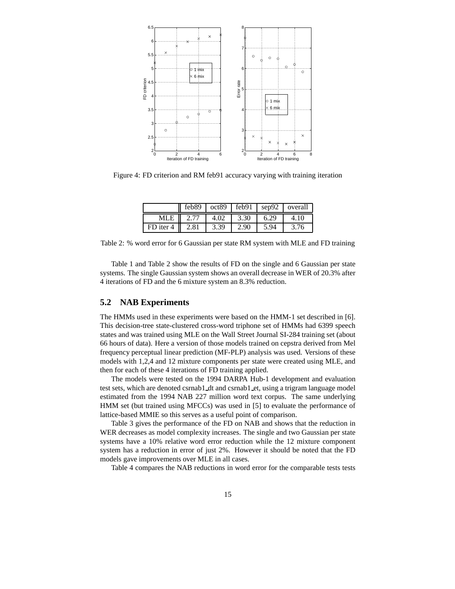

Figure 4: FD criterion and RM feb91 accuracy varying with training iteration

|           | feb89 |      | $oct89$ $\neq$ feb91 | sep92 | overall |
|-----------|-------|------|----------------------|-------|---------|
| MLE       |       | 4.02 | 3.30                 | 6.29  | 4.10    |
| FD iter 4 | 2.81  | 3.39 | 2.90                 | 5.94  | 3.76    |

Table 2: % word error for 6 Gaussian per state RM system with MLE and FD training

Table 1 and Table 2 show the results of FD on the single and 6 Gaussian per state systems. The single Gaussian system shows an overall decrease in WER of 20.3% after 4 iterations of FD and the 6 mixture system an 8.3% reduction.

### **5.2 NAB Experiments**

The HMMs used in these experiments were based on the HMM-1 set described in [6]. This decision-tree state-clustered cross-word triphone set of HMMs had 6399 speech states and was trained using MLE on the Wall Street Journal SI-284 training set (about 66 hours of data). Here a version of those models trained on cepstra derived from Mel frequency perceptual linear prediction (MF-PLP) analysis was used. Versions of these models with 1,2,4 and 12 mixture components per state were created using MLE, and then for each of these 4 iterations of FD training applied.

The models were tested on the 1994 DARPA Hub-1 development and evaluation test sets, which are denoted csrnab1 dt and csrnab1 et, using a trigram language model estimated from the 1994 NAB 227 million word text corpus. The same underlying HMM set (but trained using MFCCs) was used in [5] to evaluate the performance of lattice-based MMIE so this serves as a useful point of comparison.

Table 3 gives the performance of the FD on NAB and shows that the reduction in WER decreases as model complexity increases. The single and two Gaussian per state systems have a 10% relative word error reduction while the 12 mixture component system has a reduction in error of just 2%. However it should be noted that the FD models gave improvements over MLE in all cases.

Table 4 compares the NAB reductions in word error for the comparable tests tests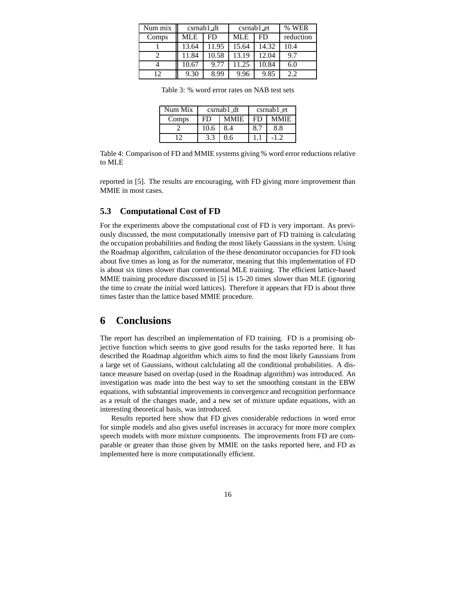| Num mix | c <sub>smab1</sub> dt |       | csrnab1_et |       | % WER     |
|---------|-----------------------|-------|------------|-------|-----------|
| Comps   | MLE                   | FD    | <b>MLE</b> | FD    | reduction |
|         | 13.64                 | 11.95 | 15.64      | 14.32 | 10.4      |
|         | 11.84                 | 10.58 | 13.19      | 12.04 | 9.7       |
|         | 10.67                 | 9.77  | 11.25      | 10.84 | 6.0       |
| 12      | 9.30                  | 8.99  | 9.96       | 9.85  | 2.2       |

Table 3: % word error rates on NAB test sets

| Num Mix |      | c <sub>small</sub> 1 <sub>dt</sub> | $csrnab1$ et |             |  |
|---------|------|------------------------------------|--------------|-------------|--|
| Comps   | FD   | <b>MMIE</b>                        | FD           | <b>MMIE</b> |  |
|         | 10.6 | 8.4                                |              | 8.8         |  |
|         | 3.3  |                                    |              |             |  |

Table 4: Comparison of FD and MMIE systems giving % word error reductions relative to MLE

reported in [5]. The results are encouraging, with FD giving more improvement than MMIE in most cases.

#### **5.3 Computational Cost of FD**

For the experiments above the computational cost of FD is very important. As previously discussed, the most computationally intensive part of FD training is calculating the occupation probabilities and finding the most likely Gaussians in the system. Using the Roadmap algorithm, calculation of the these denominator occupancies for FD took about five times as long as for the numerator, meaning that this implementation of FD is about six times slower than conventional MLE training. The efficient lattice-based MMIE training procedure discussed in [5] is 15-20 times slower than MLE (ignoring the time to create the initial word lattices). Therefore it appears that FD is about three times faster than the lattice based MMIE procedure.

## **6 Conclusions**

The report has described an implementation of FD training. FD is a promising objective function which seems to give good results for the tasks reported here. It has described the Roadmap algorithm which aims to find the most likely Gaussians from a large set of Gaussians, without calclulating all the conditional probabilities. A distance measure based on overlap (used in the Roadmap algorithm) was introduced. An investigation was made into the best way to set the smoothing constant in the EBW equations, with substantial improvements in convergence and recognition performance as a result of the changes made, and a new set of mixture update equations, with an interesting theoretical basis, was introduced.

Results reported here show that FD gives considerable reductions in word error for simple models and also gives useful increases in accuracy for more more complex speech models with more mixture components. The improvements from FD are comparable or greater than those given by MMIE on the tasks reported here, and FD as implemented here is more computationally efficient.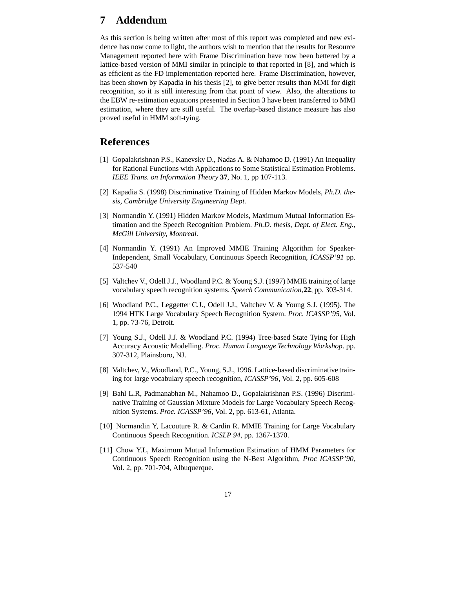# **7 Addendum**

As this section is being written after most of this report was completed and new evidence has now come to light, the authors wish to mention that the results for Resource Management reported here with Frame Discrimination have now been bettered by a lattice-based version of MMI similar in principle to that reported in [8], and which is as efficient as the FD implementation reported here. Frame Discrimination, however, has been shown by Kapadia in his thesis [2], to give better results than MMI for digit recognition, so it is still interesting from that point of view. Also, the alterations to the EBW re-estimation equations presented in Section 3 have been transferred to MMI estimation, where they are still useful. The overlap-based distance measure has also proved useful in HMM soft-tying.

### **References**

- [1] Gopalakrishnan P.S., Kanevsky D., Nadas A. & Nahamoo D. (1991) An Inequality for Rational Functions with Applications to Some Statistical Estimation Problems. *IEEE Trans. on Information Theory* **37**, No. 1, pp 107-113.
- [2] Kapadia S. (1998) Discriminative Training of Hidden Markov Models, *Ph.D. thesis, Cambridge University Engineering Dept.*
- [3] Normandin Y. (1991) Hidden Markov Models, Maximum Mutual Information Estimation and the Speech Recognition Problem. *Ph.D. thesis, Dept. of Elect. Eng., McGill University, Montreal.*
- [4] Normandin Y. (1991) An Improved MMIE Training Algorithm for Speaker-Independent, Small Vocabulary, Continuous Speech Recognition, *ICASSP'91* pp. 537-540
- [5] Valtchev V., Odell J.J., Woodland P.C. & Young S.J. (1997) MMIE training of large vocabulary speech recognition systems. *Speech Communication*,**22**, pp. 303-314.
- [6] Woodland P.C., Leggetter C.J., Odell J.J., Valtchev V. & Young S.J. (1995). The 1994 HTK Large Vocabulary Speech Recognition System. *Proc. ICASSP'95*, Vol. 1, pp. 73-76, Detroit.
- [7] Young S.J., Odell J.J. & Woodland P.C. (1994) Tree-based State Tying for High Accuracy Acoustic Modelling. *Proc. Human Language Technology Workshop*. pp. 307-312, Plainsboro, NJ.
- [8] Valtchev, V., Woodland, P.C., Young, S.J., 1996. Lattice-based discriminative training for large vocabulary speech recognition, *ICASSP'96*, Vol. 2, pp. 605-608
- [9] Bahl L.R, Padmanabhan M., Nahamoo D., Gopalakrishnan P.S. (1996) Discriminative Training of Gaussian Mixture Models for Large Vocabulary Speech Recognition Systems. *Proc. ICASSP'96*, Vol. 2, pp. 613-61, Atlanta.
- [10] Normandin Y, Lacouture R. & Cardin R. MMIE Training for Large Vocabulary Continuous Speech Recognition. *ICSLP 94*, pp. 1367-1370.
- [11] Chow Y.L, Maximum Mutual Information Estimation of HMM Parameters for Continuous Speech Recognition using the N-Best Algorithm, *Proc ICASSP'90*, Vol. 2, pp. 701-704, Albuquerque.